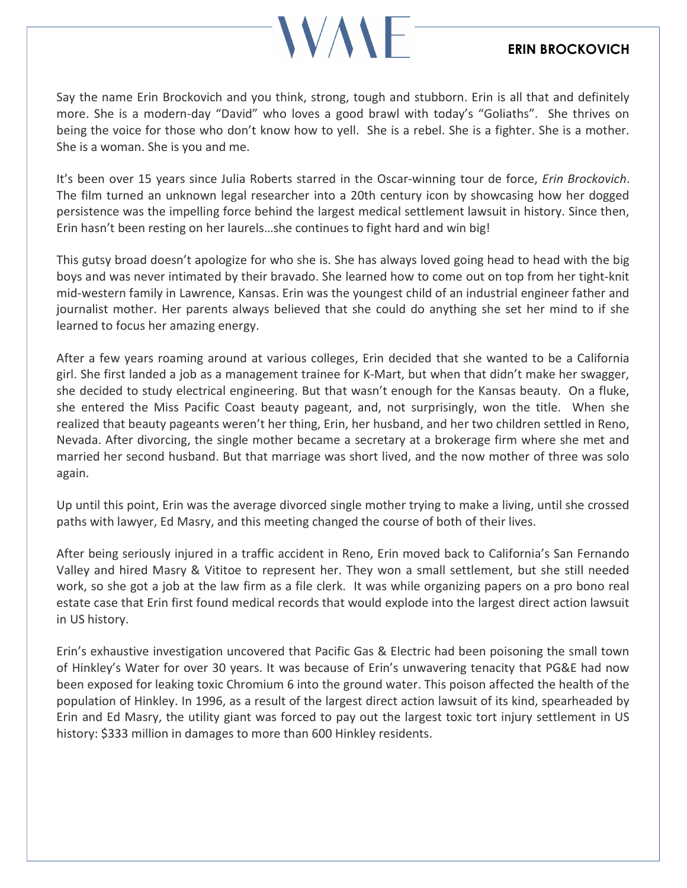## **VAN**

## ERIN BROCKOVICH

Say the name Erin Brockovich and you think, strong, tough and stubborn. Erin is all that and definitely more. She is a modern-day "David" who loves a good brawl with today's "Goliaths". She thrives on being the voice for those who don't know how to yell. She is a rebel. She is a fighter. She is a mother. She is a woman. She is you and me.

It's been over 15 years since Julia Roberts starred in the Oscar-winning tour de force, Erin Brockovich. The film turned an unknown legal researcher into a 20th century icon by showcasing how her dogged persistence was the impelling force behind the largest medical settlement lawsuit in history. Since then, Erin hasn't been resting on her laurels…she continues to fight hard and win big!

This gutsy broad doesn't apologize for who she is. She has always loved going head to head with the big boys and was never intimated by their bravado. She learned how to come out on top from her tight-knit mid-western family in Lawrence, Kansas. Erin was the youngest child of an industrial engineer father and journalist mother. Her parents always believed that she could do anything she set her mind to if she learned to focus her amazing energy.

After a few years roaming around at various colleges, Erin decided that she wanted to be a California girl. She first landed a job as a management trainee for K-Mart, but when that didn't make her swagger, she decided to study electrical engineering. But that wasn't enough for the Kansas beauty. On a fluke, she entered the Miss Pacific Coast beauty pageant, and, not surprisingly, won the title. When she realized that beauty pageants weren't her thing, Erin, her husband, and her two children settled in Reno, Nevada. After divorcing, the single mother became a secretary at a brokerage firm where she met and married her second husband. But that marriage was short lived, and the now mother of three was solo again.

Up until this point, Erin was the average divorced single mother trying to make a living, until she crossed paths with lawyer, Ed Masry, and this meeting changed the course of both of their lives.

After being seriously injured in a traffic accident in Reno, Erin moved back to California's San Fernando Valley and hired Masry & Vititoe to represent her. They won a small settlement, but she still needed work, so she got a job at the law firm as a file clerk. It was while organizing papers on a pro bono real estate case that Erin first found medical records that would explode into the largest direct action lawsuit in US history.

Erin's exhaustive investigation uncovered that Pacific Gas & Electric had been poisoning the small town of Hinkley's Water for over 30 years. It was because of Erin's unwavering tenacity that PG&E had now been exposed for leaking toxic Chromium 6 into the ground water. This poison affected the health of the population of Hinkley. In 1996, as a result of the largest direct action lawsuit of its kind, spearheaded by Erin and Ed Masry, the utility giant was forced to pay out the largest toxic tort injury settlement in US history: \$333 million in damages to more than 600 Hinkley residents.